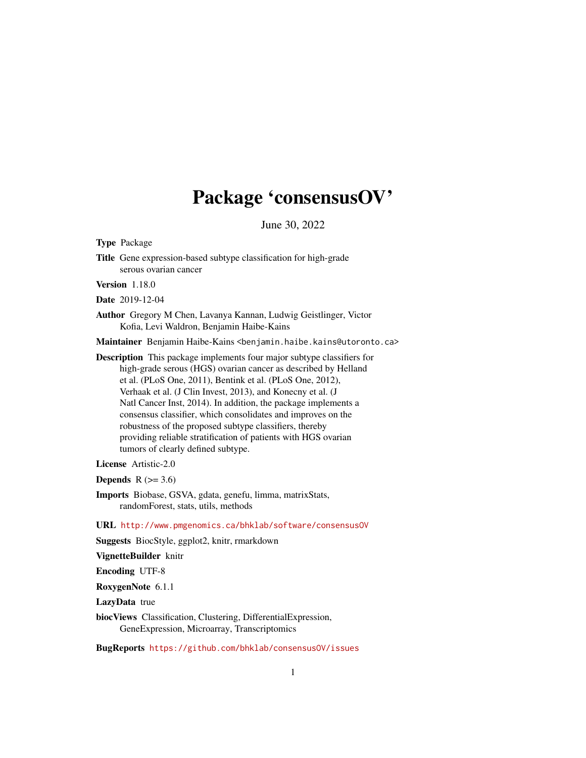# Package 'consensusOV'

June 30, 2022

Type Package

Title Gene expression-based subtype classification for high-grade serous ovarian cancer

Version 1.18.0

Date 2019-12-04

Author Gregory M Chen, Lavanya Kannan, Ludwig Geistlinger, Victor Kofia, Levi Waldron, Benjamin Haibe-Kains

Maintainer Benjamin Haibe-Kains <benjamin.haibe.kains@utoronto.ca>

Description This package implements four major subtype classifiers for high-grade serous (HGS) ovarian cancer as described by Helland et al. (PLoS One, 2011), Bentink et al. (PLoS One, 2012), Verhaak et al. (J Clin Invest, 2013), and Konecny et al. (J Natl Cancer Inst, 2014). In addition, the package implements a consensus classifier, which consolidates and improves on the robustness of the proposed subtype classifiers, thereby providing reliable stratification of patients with HGS ovarian tumors of clearly defined subtype.

License Artistic-2.0

Depends  $R$  ( $>= 3.6$ )

Imports Biobase, GSVA, gdata, genefu, limma, matrixStats, randomForest, stats, utils, methods

URL <http://www.pmgenomics.ca/bhklab/software/consensusOV>

Suggests BiocStyle, ggplot2, knitr, rmarkdown

VignetteBuilder knitr

Encoding UTF-8

RoxygenNote 6.1.1

LazyData true

biocViews Classification, Clustering, DifferentialExpression, GeneExpression, Microarray, Transcriptomics

BugReports <https://github.com/bhklab/consensusOV/issues>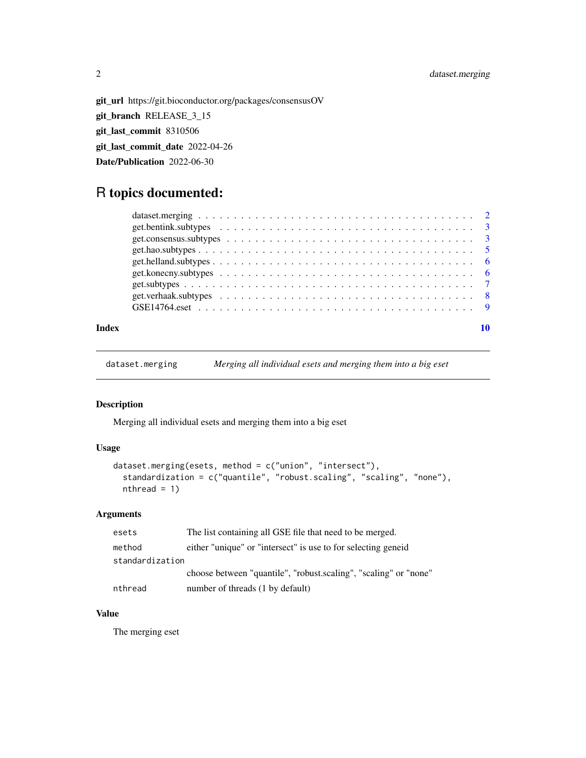# <span id="page-1-0"></span>2 dataset.merging

git\_url https://git.bioconductor.org/packages/consensusOV git\_branch RELEASE\_3\_15 git\_last\_commit 8310506 git\_last\_commit\_date 2022-04-26 Date/Publication 2022-06-30

# R topics documented:

#### $\blacksquare$

dataset.merging *Merging all individual esets and merging them into a big eset*

# Description

Merging all individual esets and merging them into a big eset

# Usage

```
dataset.merging(esets, method = c("union", "intersect"),
  standardization = c("quantile", "robust.scaling", "scaling", "none"),
 nthread = 1)
```
#### Arguments

| esets           | The list containing all GSE file that need to be merged.         |
|-----------------|------------------------------------------------------------------|
| method          | either "unique" or "intersect" is use to for selecting genere    |
| standardization |                                                                  |
|                 | choose between "quantile", "robust.scaling", "scaling" or "none" |
| nthread         | number of threads (1 by default)                                 |

# Value

The merging eset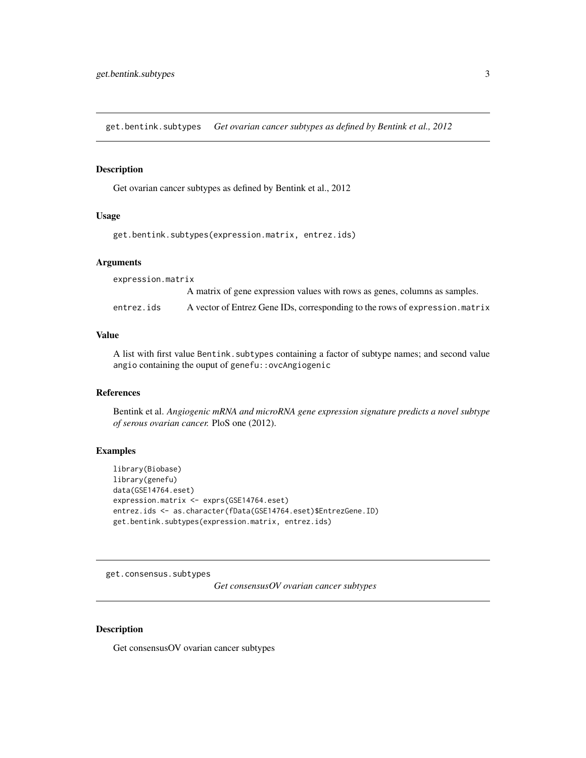<span id="page-2-0"></span>get.bentink.subtypes *Get ovarian cancer subtypes as defined by Bentink et al., 2012*

# Description

Get ovarian cancer subtypes as defined by Bentink et al., 2012

# Usage

```
get.bentink.subtypes(expression.matrix, entrez.ids)
```
#### Arguments

expression.matrix

A matrix of gene expression values with rows as genes, columns as samples. entrez.ids A vector of Entrez Gene IDs, corresponding to the rows of expression.matrix

#### Value

A list with first value Bentink.subtypes containing a factor of subtype names; and second value angio containing the ouput of genefu::ovcAngiogenic

#### References

Bentink et al. *Angiogenic mRNA and microRNA gene expression signature predicts a novel subtype of serous ovarian cancer.* PloS one (2012).

#### Examples

```
library(Biobase)
library(genefu)
data(GSE14764.eset)
expression.matrix <- exprs(GSE14764.eset)
entrez.ids <- as.character(fData(GSE14764.eset)$EntrezGene.ID)
get.bentink.subtypes(expression.matrix, entrez.ids)
```
<span id="page-2-1"></span>get.consensus.subtypes

*Get consensusOV ovarian cancer subtypes*

#### Description

Get consensusOV ovarian cancer subtypes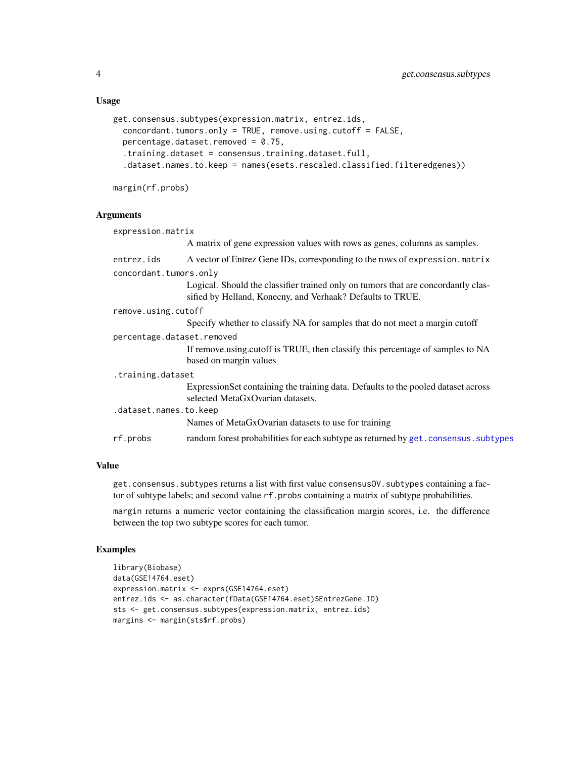#### <span id="page-3-0"></span>Usage

```
get.consensus.subtypes(expression.matrix, entrez.ids,
  concordant.tumors.only = TRUE, remove.using.cutoff = FALSE,
 percentage.dataset.removed = 0.75,
  .training.dataset = consensus.training.dataset.full,
  .dataset.names.to.keep = names(esets.rescaled.classified.filteredgenes))
```
margin(rf.probs)

#### Arguments

| expression.matrix          |                                                                                                                                                 |
|----------------------------|-------------------------------------------------------------------------------------------------------------------------------------------------|
|                            | A matrix of gene expression values with rows as genes, columns as samples.                                                                      |
| entrez.ids                 | A vector of Entrez Gene IDs, corresponding to the rows of expression. matrix                                                                    |
| concordant.tumors.only     |                                                                                                                                                 |
|                            | Logical. Should the classifier trained only on tumors that are concordantly clas-<br>sified by Helland, Konecny, and Verhaak? Defaults to TRUE. |
| remove.using.cutoff        |                                                                                                                                                 |
|                            | Specify whether to classify NA for samples that do not meet a margin cutoff                                                                     |
| percentage.dataset.removed |                                                                                                                                                 |
|                            | If remove using cutoff is TRUE, then classify this percentage of samples to NA<br>based on margin values                                        |
| .training.dataset          |                                                                                                                                                 |
|                            | Expression Set containing the training data. Defaults to the pooled dataset across<br>selected MetaGxOvarian datasets.                          |
| .dataset.names.to.keep     |                                                                                                                                                 |
|                            | Names of MetaGxOvarian datasets to use for training                                                                                             |
| rf.probs                   | random forest probabilities for each subtype as returned by get. consensus. subtypes                                                            |

# Value

get.consensus.subtypes returns a list with first value consensusOV.subtypes containing a factor of subtype labels; and second value rf.probs containing a matrix of subtype probabilities.

margin returns a numeric vector containing the classification margin scores, i.e. the difference between the top two subtype scores for each tumor.

#### Examples

```
library(Biobase)
data(GSE14764.eset)
expression.matrix <- exprs(GSE14764.eset)
entrez.ids <- as.character(fData(GSE14764.eset)$EntrezGene.ID)
sts <- get.consensus.subtypes(expression.matrix, entrez.ids)
margins <- margin(sts$rf.probs)
```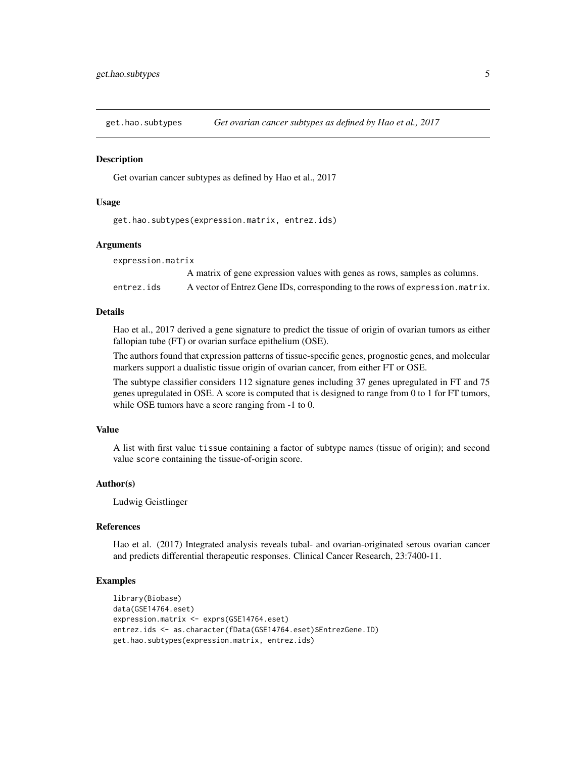<span id="page-4-0"></span>

#### Description

Get ovarian cancer subtypes as defined by Hao et al., 2017

#### Usage

get.hao.subtypes(expression.matrix, entrez.ids)

#### Arguments

expression.matrix

|            | A matrix of gene expression values with genes as rows, samples as columns.    |
|------------|-------------------------------------------------------------------------------|
| entrez.ids | A vector of Entrez Gene IDs, corresponding to the rows of expression. matrix. |

# Details

Hao et al., 2017 derived a gene signature to predict the tissue of origin of ovarian tumors as either fallopian tube (FT) or ovarian surface epithelium (OSE).

The authors found that expression patterns of tissue-specific genes, prognostic genes, and molecular markers support a dualistic tissue origin of ovarian cancer, from either FT or OSE.

The subtype classifier considers 112 signature genes including 37 genes upregulated in FT and 75 genes upregulated in OSE. A score is computed that is designed to range from 0 to 1 for FT tumors, while OSE tumors have a score ranging from -1 to 0.

#### Value

A list with first value tissue containing a factor of subtype names (tissue of origin); and second value score containing the tissue-of-origin score.

#### Author(s)

Ludwig Geistlinger

# References

Hao et al. (2017) Integrated analysis reveals tubal- and ovarian-originated serous ovarian cancer and predicts differential therapeutic responses. Clinical Cancer Research, 23:7400-11.

#### Examples

```
library(Biobase)
data(GSE14764.eset)
expression.matrix <- exprs(GSE14764.eset)
entrez.ids <- as.character(fData(GSE14764.eset)$EntrezGene.ID)
get.hao.subtypes(expression.matrix, entrez.ids)
```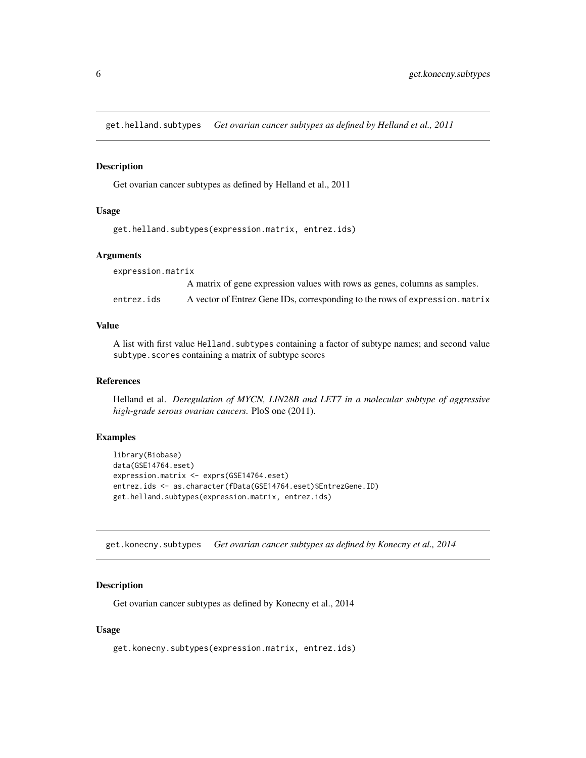<span id="page-5-0"></span>get.helland.subtypes *Get ovarian cancer subtypes as defined by Helland et al., 2011*

#### Description

Get ovarian cancer subtypes as defined by Helland et al., 2011

# Usage

```
get.helland.subtypes(expression.matrix, entrez.ids)
```
#### Arguments

expression.matrix A matrix of gene expression values with rows as genes, columns as samples. entrez.ids A vector of Entrez Gene IDs, corresponding to the rows of expression.matrix

#### Value

A list with first value Helland.subtypes containing a factor of subtype names; and second value subtype.scores containing a matrix of subtype scores

#### References

Helland et al. *Deregulation of MYCN, LIN28B and LET7 in a molecular subtype of aggressive high-grade serous ovarian cancers.* PloS one (2011).

# Examples

```
library(Biobase)
data(GSE14764.eset)
expression.matrix <- exprs(GSE14764.eset)
entrez.ids <- as.character(fData(GSE14764.eset)$EntrezGene.ID)
get.helland.subtypes(expression.matrix, entrez.ids)
```
get.konecny.subtypes *Get ovarian cancer subtypes as defined by Konecny et al., 2014*

#### **Description**

Get ovarian cancer subtypes as defined by Konecny et al., 2014

#### Usage

get.konecny.subtypes(expression.matrix, entrez.ids)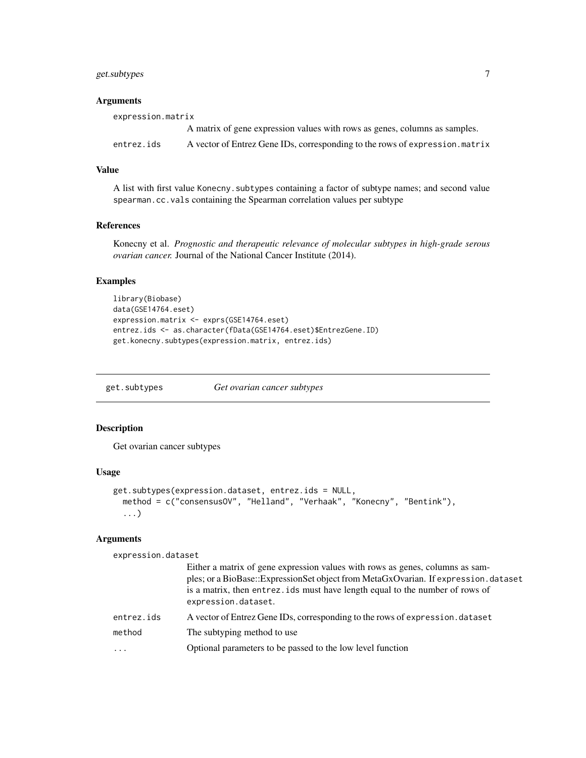# <span id="page-6-0"></span>get.subtypes 7

# Arguments

| expression.matrix |                                                                              |  |
|-------------------|------------------------------------------------------------------------------|--|
|                   | A matrix of gene expression values with rows as genes, columns as samples.   |  |
| entrez.ids        | A vector of Entrez Gene IDs, corresponding to the rows of expression. matrix |  |

# Value

A list with first value Konecny.subtypes containing a factor of subtype names; and second value spearman.cc.vals containing the Spearman correlation values per subtype

# References

Konecny et al. *Prognostic and therapeutic relevance of molecular subtypes in high-grade serous ovarian cancer.* Journal of the National Cancer Institute (2014).

# Examples

```
library(Biobase)
data(GSE14764.eset)
expression.matrix <- exprs(GSE14764.eset)
entrez.ids <- as.character(fData(GSE14764.eset)$EntrezGene.ID)
get.konecny.subtypes(expression.matrix, entrez.ids)
```
get.subtypes *Get ovarian cancer subtypes*

#### Description

Get ovarian cancer subtypes

#### Usage

```
get.subtypes(expression.dataset, entrez.ids = NULL,
 method = c("consensusOV", "Helland", "Verhaak", "Konecny", "Bentink"),
  ...)
```
#### Arguments

expression.dataset

|            | Either a matrix of gene expression values with rows as genes, columns as sam-<br>ples; or a BioBase::ExpressionSet object from MetaGxOvarian. If expression.dataset<br>is a matrix, then entrez. ids must have length equal to the number of rows of<br>expression.dataset. |
|------------|-----------------------------------------------------------------------------------------------------------------------------------------------------------------------------------------------------------------------------------------------------------------------------|
| entrez.ids | A vector of Entrez Gene IDs, corresponding to the rows of expression. dataset                                                                                                                                                                                               |
| method     | The subtyping method to use                                                                                                                                                                                                                                                 |
| $\ddotsc$  | Optional parameters to be passed to the low level function                                                                                                                                                                                                                  |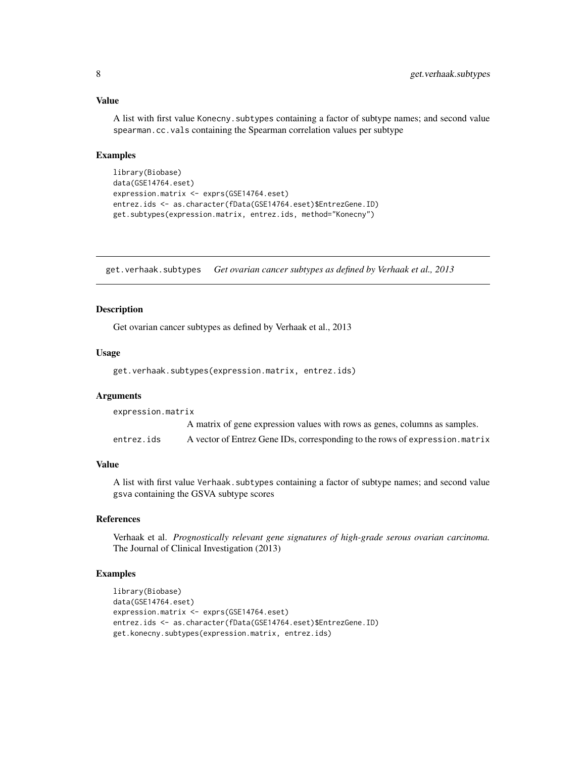#### Value

A list with first value Konecny.subtypes containing a factor of subtype names; and second value spearman.cc.vals containing the Spearman correlation values per subtype

#### Examples

```
library(Biobase)
data(GSE14764.eset)
expression.matrix <- exprs(GSE14764.eset)
entrez.ids <- as.character(fData(GSE14764.eset)$EntrezGene.ID)
get.subtypes(expression.matrix, entrez.ids, method="Konecny")
```
get.verhaak.subtypes *Get ovarian cancer subtypes as defined by Verhaak et al., 2013*

#### Description

Get ovarian cancer subtypes as defined by Verhaak et al., 2013

# Usage

get.verhaak.subtypes(expression.matrix, entrez.ids)

#### Arguments

expression.matrix A matrix of gene expression values with rows as genes, columns as samples. entrez.ids A vector of Entrez Gene IDs, corresponding to the rows of expression.matrix

# Value

A list with first value Verhaak.subtypes containing a factor of subtype names; and second value gsva containing the GSVA subtype scores

#### References

Verhaak et al. *Prognostically relevant gene signatures of high-grade serous ovarian carcinoma.* The Journal of Clinical Investigation (2013)

# Examples

```
library(Biobase)
data(GSE14764.eset)
expression.matrix <- exprs(GSE14764.eset)
entrez.ids <- as.character(fData(GSE14764.eset)$EntrezGene.ID)
get.konecny.subtypes(expression.matrix, entrez.ids)
```
<span id="page-7-0"></span>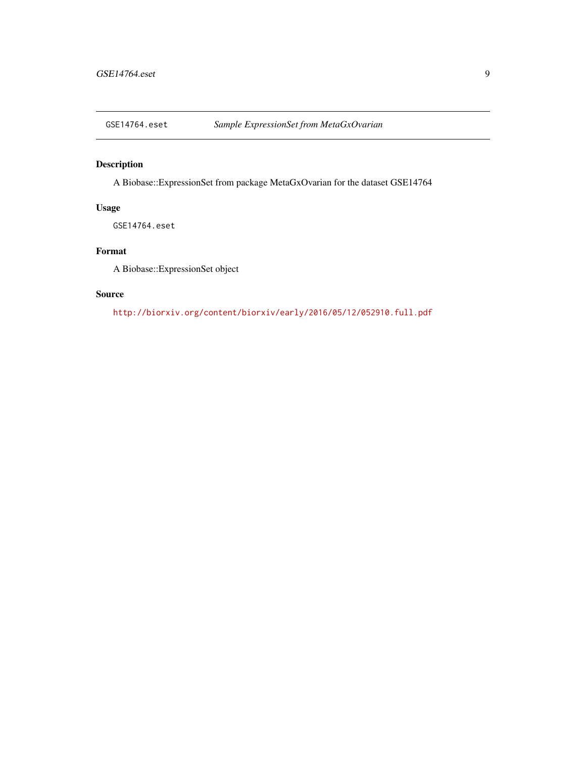<span id="page-8-0"></span>

# Description

A Biobase::ExpressionSet from package MetaGxOvarian for the dataset GSE14764

# Usage

GSE14764.eset

# Format

A Biobase::ExpressionSet object

# Source

<http://biorxiv.org/content/biorxiv/early/2016/05/12/052910.full.pdf>